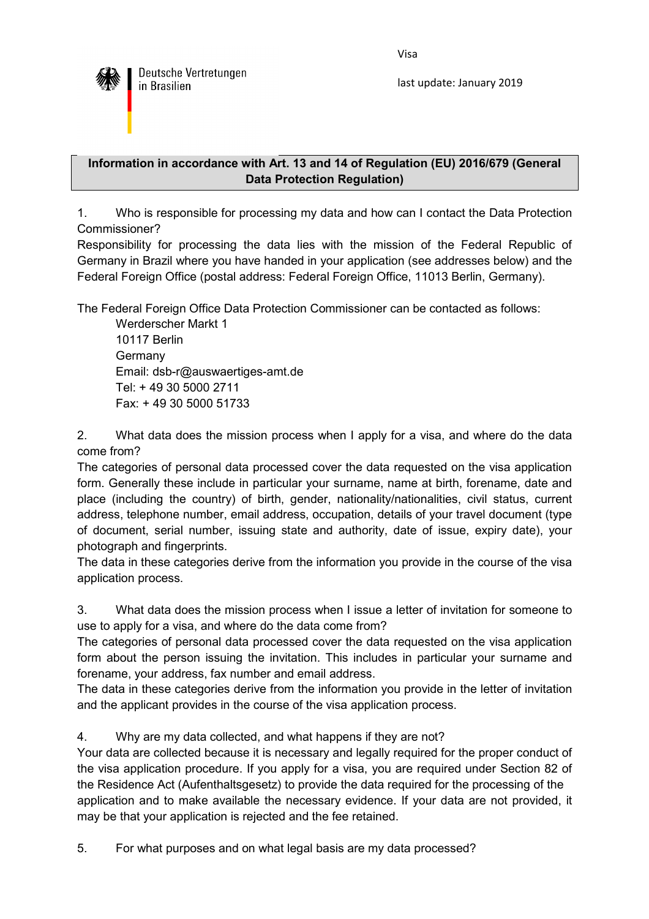Visa



last update: January 2019

## **Information in accordance with Art. 13 and 14 of Regulation (EU) 2016/679 (General Data Protection Regulation)**

1. Who is responsible for processing my data and how can I contact the Data Protection Commissioner?

Responsibility for processing the data lies with the mission of the Federal Republic of Germany in Brazil where you have handed in your application (see addresses below) and the Federal Foreign Office (postal address: Federal Foreign Office, 11013 Berlin, Germany).

The Federal Foreign Office Data Protection Commissioner can be contacted as follows:

 Werderscher Markt 1 10117 Berlin Germany Email: dsb-r@auswaertiges-amt.de Tel: + 49 30 5000 2711 Fax: + 49 30 5000 51733

2. What data does the mission process when I apply for a visa, and where do the data come from?

The categories of personal data processed cover the data requested on the visa application form. Generally these include in particular your surname, name at birth, forename, date and place (including the country) of birth, gender, nationality/nationalities, civil status, current address, telephone number, email address, occupation, details of your travel document (type of document, serial number, issuing state and authority, date of issue, expiry date), your photograph and fingerprints.

The data in these categories derive from the information you provide in the course of the visa application process.

3. What data does the mission process when I issue a letter of invitation for someone to use to apply for a visa, and where do the data come from?

The categories of personal data processed cover the data requested on the visa application form about the person issuing the invitation. This includes in particular your surname and forename, your address, fax number and email address.

The data in these categories derive from the information you provide in the letter of invitation and the applicant provides in the course of the visa application process.

4. Why are my data collected, and what happens if they are not?

Your data are collected because it is necessary and legally required for the proper conduct of the visa application procedure. If you apply for a visa, you are required under Section 82 of the Residence Act (Aufenthaltsgesetz) to provide the data required for the processing of the application and to make available the necessary evidence. If your data are not provided, it may be that your application is rejected and the fee retained.

5. For what purposes and on what legal basis are my data processed?